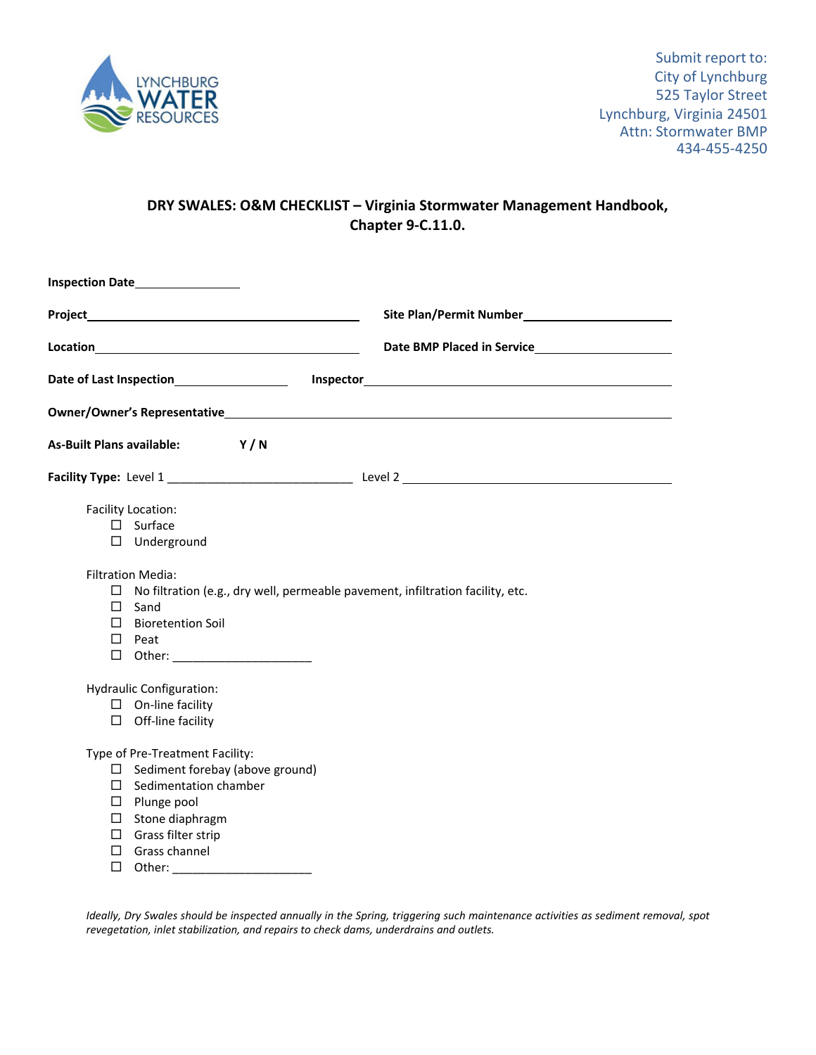

## **DRY SWALES: O&M CHECKLIST – Virginia Stormwater Management Handbook, Chapter 9‐C.11.0.**

|                                                                                                                                                                                                                                                                                                                                                                                        | Site Plan/Permit Number<br><u>Land Communication</u> |
|----------------------------------------------------------------------------------------------------------------------------------------------------------------------------------------------------------------------------------------------------------------------------------------------------------------------------------------------------------------------------------------|------------------------------------------------------|
|                                                                                                                                                                                                                                                                                                                                                                                        |                                                      |
| Date of Last Inspection <b>Date of Last Inspection</b>                                                                                                                                                                                                                                                                                                                                 |                                                      |
|                                                                                                                                                                                                                                                                                                                                                                                        |                                                      |
| <b>As-Built Plans available:</b><br>Y/N                                                                                                                                                                                                                                                                                                                                                |                                                      |
|                                                                                                                                                                                                                                                                                                                                                                                        |                                                      |
| Facility Location:<br>$\square$ Surface<br>$\Box$ Underground<br><b>Filtration Media:</b><br>No filtration (e.g., dry well, permeable pavement, infiltration facility, etc.<br>ப<br>$\Box$<br>Sand<br>$\Box$<br><b>Bioretention Soil</b><br>$\Box$ Peat<br>□ Other: ________________________<br><b>Hydraulic Configuration:</b><br>$\Box$ On-line facility<br>$\Box$ Off-line facility |                                                      |
| Type of Pre-Treatment Facility:<br>$\Box$ Sediment forebay (above ground)<br>$\Box$ Sedimentation chamber<br>$\square$ Plunge pool<br>$\Box$ Stone diaphragm<br>$\Box$ Grass filter strip<br>$\Box$ Grass channel<br>$\Box$<br>Other:                                                                                                                                                  |                                                      |

Ideally, Dry Swales should be inspected annually in the Spring, triggering such maintenance activities as sediment removal, spot *revegetation, inlet stabilization, and repairs to check dams, underdrains and outlets.*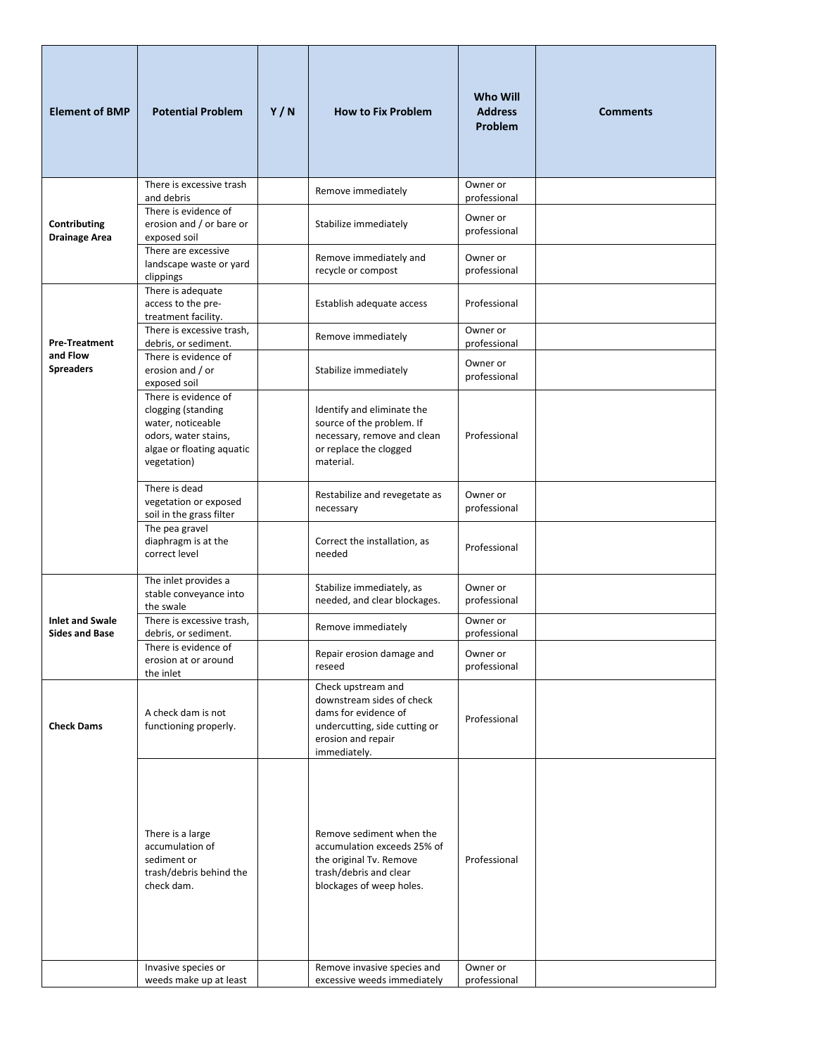| <b>Element of BMP</b>                           | <b>Potential Problem</b>                                                                                                            | Y/N | <b>How to Fix Problem</b>                                                                                                                                               | <b>Who Will</b><br><b>Address</b><br>Problem | <b>Comments</b> |
|-------------------------------------------------|-------------------------------------------------------------------------------------------------------------------------------------|-----|-------------------------------------------------------------------------------------------------------------------------------------------------------------------------|----------------------------------------------|-----------------|
|                                                 | There is excessive trash                                                                                                            |     | Remove immediately                                                                                                                                                      | Owner or                                     |                 |
| Contributing<br><b>Drainage Area</b>            | and debris<br>There is evidence of<br>erosion and / or bare or<br>exposed soil                                                      |     | Stabilize immediately                                                                                                                                                   | professional<br>Owner or<br>professional     |                 |
|                                                 | There are excessive<br>landscape waste or yard<br>clippings                                                                         |     | Remove immediately and<br>recycle or compost                                                                                                                            | Owner or<br>professional                     |                 |
|                                                 | There is adequate<br>access to the pre-<br>treatment facility.                                                                      |     | Establish adequate access                                                                                                                                               | Professional                                 |                 |
| <b>Pre-Treatment</b>                            | There is excessive trash,<br>debris, or sediment.                                                                                   |     | Remove immediately                                                                                                                                                      | Owner or<br>professional                     |                 |
| and Flow<br><b>Spreaders</b>                    | There is evidence of<br>erosion and / or<br>exposed soil                                                                            |     | Stabilize immediately                                                                                                                                                   | Owner or<br>professional                     |                 |
|                                                 | There is evidence of<br>clogging (standing<br>water, noticeable<br>odors, water stains,<br>algae or floating aquatic<br>vegetation) |     | Identify and eliminate the<br>source of the problem. If<br>necessary, remove and clean<br>or replace the clogged<br>material.                                           | Professional                                 |                 |
|                                                 | There is dead<br>vegetation or exposed<br>soil in the grass filter                                                                  |     | Restabilize and revegetate as<br>necessary                                                                                                                              | Owner or<br>professional                     |                 |
|                                                 | The pea gravel<br>diaphragm is at the<br>correct level                                                                              |     | Correct the installation, as<br>needed                                                                                                                                  | Professional                                 |                 |
| <b>Inlet and Swale</b><br><b>Sides and Base</b> | The inlet provides a<br>stable conveyance into<br>the swale                                                                         |     | Stabilize immediately, as<br>needed, and clear blockages.                                                                                                               | Owner or<br>professional                     |                 |
|                                                 | There is excessive trash,<br>debris, or sediment.                                                                                   |     | Remove immediately                                                                                                                                                      | Owner or<br>professional                     |                 |
|                                                 | There is evidence of<br>erosion at or around<br>the inlet                                                                           |     | Repair erosion damage and<br>reseed                                                                                                                                     | Owner or<br>professional                     |                 |
| <b>Check Dams</b>                               | A check dam is not<br>functioning properly.                                                                                         |     | Check upstream and<br>downstream sides of check<br>dams for evidence of<br>undercutting, side cutting or<br>erosion and repair<br>immediately.                          | Professional                                 |                 |
|                                                 | There is a large<br>accumulation of<br>sediment or<br>trash/debris behind the<br>check dam.<br>Invasive species or                  |     | Remove sediment when the<br>accumulation exceeds 25% of<br>the original Tv. Remove<br>trash/debris and clear<br>blockages of weep holes.<br>Remove invasive species and | Professional<br>Owner or                     |                 |
|                                                 | weeds make up at least                                                                                                              |     | excessive weeds immediately                                                                                                                                             | professional                                 |                 |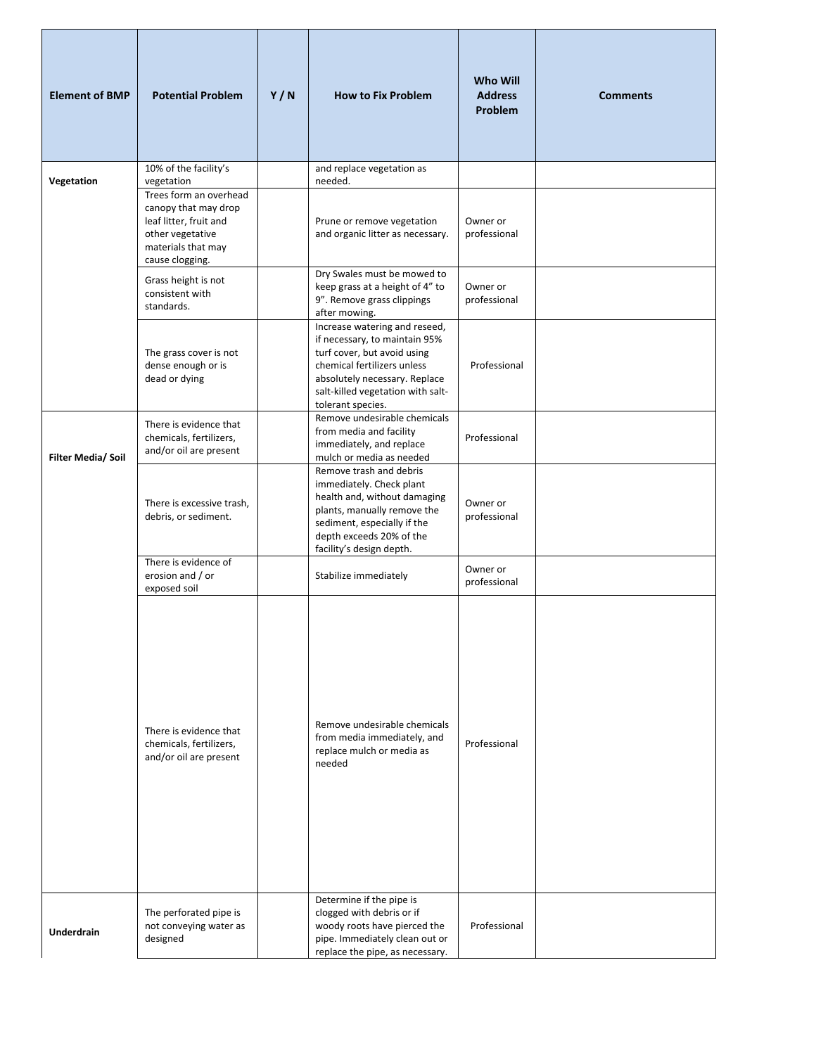| <b>Element of BMP</b> | <b>Potential Problem</b>                                                                                                              | Y/N | <b>How to Fix Problem</b>                                                                                                                                                                                               | Who Will<br><b>Address</b><br><b>Problem</b> | <b>Comments</b> |
|-----------------------|---------------------------------------------------------------------------------------------------------------------------------------|-----|-------------------------------------------------------------------------------------------------------------------------------------------------------------------------------------------------------------------------|----------------------------------------------|-----------------|
| Vegetation            | 10% of the facility's<br>vegetation                                                                                                   |     | and replace vegetation as<br>needed.                                                                                                                                                                                    |                                              |                 |
|                       | Trees form an overhead<br>canopy that may drop<br>leaf litter, fruit and<br>other vegetative<br>materials that may<br>cause clogging. |     | Prune or remove vegetation<br>and organic litter as necessary.                                                                                                                                                          | Owner or<br>professional                     |                 |
|                       | Grass height is not<br>consistent with<br>standards.                                                                                  |     | Dry Swales must be mowed to<br>keep grass at a height of 4" to<br>9". Remove grass clippings<br>after mowing.                                                                                                           | Owner or<br>professional                     |                 |
|                       | The grass cover is not<br>dense enough or is<br>dead or dying                                                                         |     | Increase watering and reseed,<br>if necessary, to maintain 95%<br>turf cover, but avoid using<br>chemical fertilizers unless<br>absolutely necessary. Replace<br>salt-killed vegetation with salt-<br>tolerant species. | Professional                                 |                 |
| Filter Media/ Soil    | There is evidence that<br>chemicals, fertilizers,<br>and/or oil are present                                                           |     | Remove undesirable chemicals<br>from media and facility<br>immediately, and replace<br>mulch or media as needed                                                                                                         | Professional                                 |                 |
|                       | There is excessive trash,<br>debris, or sediment.                                                                                     |     | Remove trash and debris<br>immediately. Check plant<br>health and, without damaging<br>plants, manually remove the<br>sediment, especially if the<br>depth exceeds 20% of the<br>facility's design depth.               | Owner or<br>professional                     |                 |
|                       | There is evidence of<br>erosion and / or<br>exposed soil                                                                              |     | Stabilize immediately                                                                                                                                                                                                   | Owner or<br>professional                     |                 |
|                       | There is evidence that<br>chemicals, fertilizers,<br>and/or oil are present                                                           |     | Remove undesirable chemicals<br>from media immediately, and<br>replace mulch or media as<br>needed                                                                                                                      | Professional                                 |                 |
| <b>Underdrain</b>     | The perforated pipe is<br>not conveying water as<br>designed                                                                          |     | Determine if the pipe is<br>clogged with debris or if<br>woody roots have pierced the<br>pipe. Immediately clean out or<br>replace the pipe, as necessary.                                                              | Professional                                 |                 |